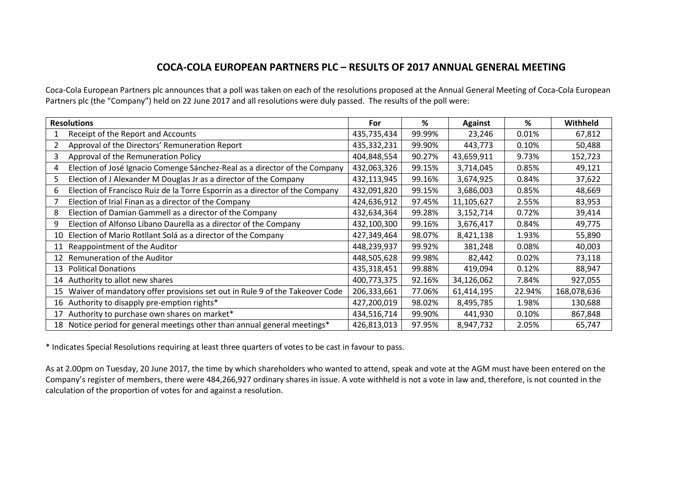## **COCA-COLA EUROPEAN PARTNERS PLC – RESULTS OF 2017 ANNUAL GENERAL MEETING**

Coca-Cola European Partners plc announces that a poll was taken on each of the resolutions proposed at the Annual General Meeting of Coca-Cola European Partners plc (the "Company") held on 22 June 2017 and all resolutions were duly passed. The results of the poll were:

| <b>Resolutions</b> |                                                                              | For         | %      | <b>Against</b> | %      | Withheld    |
|--------------------|------------------------------------------------------------------------------|-------------|--------|----------------|--------|-------------|
|                    | Receipt of the Report and Accounts                                           | 435,735,434 | 99.99% | 23,246         | 0.01%  | 67,812      |
|                    | Approval of the Directors' Remuneration Report                               | 435,332,231 | 99.90% | 443,773        | 0.10%  | 50,488      |
| 3                  | Approval of the Remuneration Policy                                          | 404,848,554 | 90.27% | 43,659,911     | 9.73%  | 152,723     |
| 4                  | Election of José Ignacio Comenge Sánchez-Real as a director of the Company   | 432,063,326 | 99.15% | 3,714,045      | 0.85%  | 49,121      |
| 5                  | Election of J Alexander M Douglas Jr as a director of the Company            | 432,113,945 | 99.16% | 3,674,925      | 0.84%  | 37,622      |
| 6                  | Election of Francisco Ruiz de la Torre Esporrín as a director of the Company | 432,091,820 | 99.15% | 3,686,003      | 0.85%  | 48,669      |
|                    | Election of Irial Finan as a director of the Company                         | 424,636,912 | 97.45% | 11,105,627     | 2.55%  | 83,953      |
| 8                  | Election of Damian Gammell as a director of the Company                      | 432,634,364 | 99.28% | 3,152,714      | 0.72%  | 39,414      |
| 9                  | Election of Alfonso Líbano Daurella as a director of the Company             | 432,100,300 | 99.16% | 3,676,417      | 0.84%  | 49,775      |
|                    | 10 Election of Mario Rotllant Solá as a director of the Company              | 427,349,464 | 98.07% | 8,421,138      | 1.93%  | 55,890      |
| 11                 | Reappointment of the Auditor                                                 | 448,239,937 | 99.92% | 381,248        | 0.08%  | 40,003      |
| 12                 | Remuneration of the Auditor                                                  | 448,505,628 | 99.98% | 82,442         | 0.02%  | 73,118      |
| 13                 | <b>Political Donations</b>                                                   | 435,318,451 | 99.88% | 419,094        | 0.12%  | 88,947      |
|                    | 14 Authority to allot new shares                                             | 400,773,375 | 92.16% | 34,126,062     | 7.84%  | 927,055     |
| 15                 | Waiver of mandatory offer provisions set out in Rule 9 of the Takeover Code  | 206,333,661 | 77.06% | 61,414,195     | 22.94% | 168,078,636 |
|                    | 16 Authority to disapply pre-emption rights*                                 | 427,200,019 | 98.02% | 8,495,785      | 1.98%  | 130,688     |
| 17                 | Authority to purchase own shares on market*                                  | 434,516,714 | 99.90% | 441,930        | 0.10%  | 867,848     |
|                    | 18 Notice period for general meetings other than annual general meetings*    | 426,813,013 | 97.95% | 8,947,732      | 2.05%  | 65,747      |

\* Indicates Special Resolutions requiring at least three quarters of votes to be cast in favour to pass.

As at 2.00pm on Tuesday, 20 June 2017, the time by which shareholders who wanted to attend, speak and vote at the AGM must have been entered on the Company's register of members, there were 484,266,927 ordinary shares in issue. A vote withheld is not a vote in law and, therefore, is not counted in the calculation of the proportion of votes for and against a resolution.